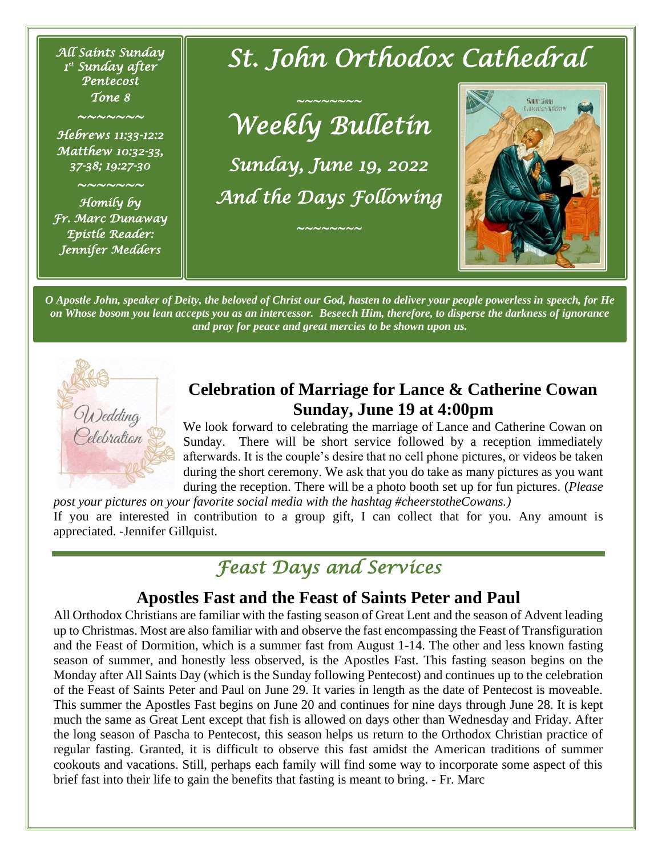*All Saints Sunday 1 st Sunday after Pentecost Tone 8* 

*~~~~~~~* 

*Hebrews 11:33-12:2 Matthew 10:32-33, 37-38; 19:27-30* 

*~~~~~~~* 

*Homily by Fr. Marc Dunaway Epistle Reader: Jennifer Medders* 

# *St. John Orthodox Cathedral*

*~~~~~~~~ Weekly Bulletin* 

*Sunday, June 19, 2022 And the Days Following* 

*~~~~~~~~* 



*O Apostle John, speaker of Deity, the beloved of Christ our God, hasten to deliver your people powerless in speech, for He on Whose bosom you lean accepts you as an intercessor. Beseech Him, therefore, to disperse the darkness of ignorance and pray for peace and great mercies to be shown upon us.*



#### **Celebration of Marriage for Lance & Catherine Cowan Sunday, June 19 at 4:00pm**

We look forward to celebrating the marriage of Lance and Catherine Cowan on Sunday. There will be short service followed by a reception immediately afterwards. It is the couple's desire that no cell phone pictures, or videos be taken during the short ceremony. We ask that you do take as many pictures as you want during the reception. There will be a photo booth set up for fun pictures. (*Please* 

*post your pictures on your favorite social media with the hashtag #cheerstotheCowans.)* If you are interested in contribution to a group gift, I can collect that for you. Any amount is appreciated. -Jennifer Gillquist.

## *Feast Days and Services*

#### **Apostles Fast and the Feast of Saints Peter and Paul**

All Orthodox Christians are familiar with the fasting season of Great Lent and the season of Advent leading up to Christmas. Most are also familiar with and observe the fast encompassing the Feast of Transfiguration and the Feast of Dormition, which is a summer fast from August 1-14. The other and less known fasting season of summer, and honestly less observed, is the Apostles Fast. This fasting season begins on the Monday after All Saints Day (which is the Sunday following Pentecost) and continues up to the celebration of the Feast of Saints Peter and Paul on June 29. It varies in length as the date of Pentecost is moveable. This summer the Apostles Fast begins on June 20 and continues for nine days through June 28. It is kept much the same as Great Lent except that fish is allowed on days other than Wednesday and Friday. After the long season of Pascha to Pentecost, this season helps us return to the Orthodox Christian practice of regular fasting. Granted, it is difficult to observe this fast amidst the American traditions of summer cookouts and vacations. Still, perhaps each family will find some way to incorporate some aspect of this brief fast into their life to gain the benefits that fasting is meant to bring. - Fr. Marc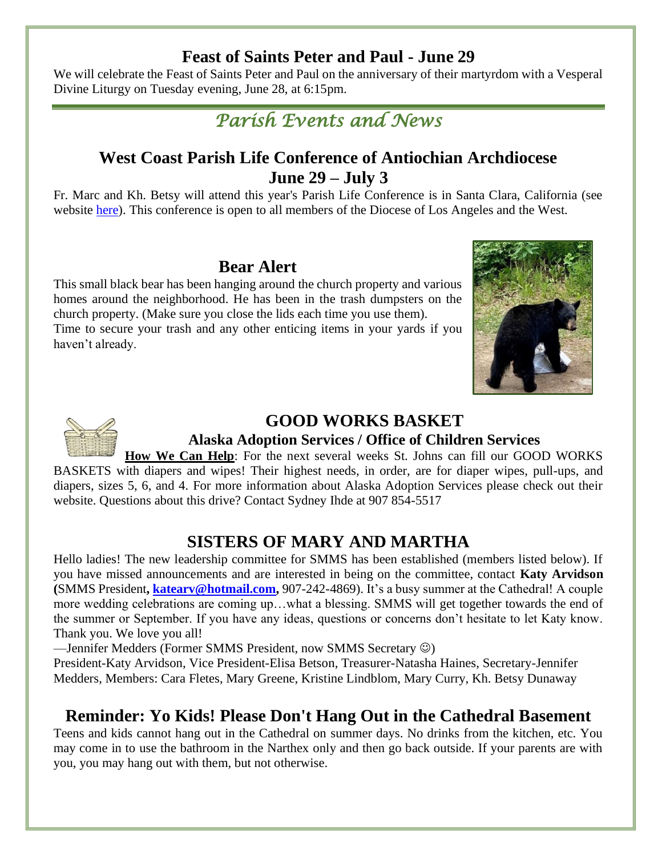#### **Feast of Saints Peter and Paul - June 29**

We will celebrate the Feast of Saints Peter and Paul on the anniversary of their martyrdom with a Vesperal Divine Liturgy on Tuesday evening, June 28, at 6:15pm.



### **West Coast Parish Life Conference of Antiochian Archdiocese June 29 – July 3**

Fr. Marc and Kh. Betsy will attend this year's Parish Life Conference is in Santa Clara, California (see website [here\)](https://antiochianevents.com/la). This conference is open to all members of the Diocese of Los Angeles and the West.

#### **Bear Alert**

This small black bear has been hanging around the church property and various homes around the neighborhood. He has been in the trash dumpsters on the church property. (Make sure you close the lids each time you use them). Time to secure your trash and any other enticing items in your yards if you haven't already.





#### **GOOD WORKS BASKET**

#### **Alaska Adoption Services / Office of Children Services**

**How We Can Help**: For the next several weeks St. Johns can fill our GOOD WORKS BASKETS with diapers and wipes! Their highest needs, in order, are for diaper wipes, pull-ups, and diapers, sizes 5, 6, and 4. For more information about Alaska Adoption Services please check out their website. Questions about this drive? Contact Sydney Ihde at 907 854-5517

### **SISTERS OF MARY AND MARTHA**

Hello ladies! The new leadership committee for SMMS has been established (members listed below). If you have missed announcements and are interested in being on the committee, contact **Katy Arvidson (**SMMS President**, [katearv@hotmail.com,](mailto:katearv@hotmail.com)** 907-242-4869). It's a busy summer at the Cathedral! A couple more wedding celebrations are coming up…what a blessing. SMMS will get together towards the end of the summer or September. If you have any ideas, questions or concerns don't hesitate to let Katy know. Thank you. We love you all!

—Jennifer Medders (Former SMMS President, now SMMS Secretary ☺)

President-Katy Arvidson, Vice President-Elisa Betson, Treasurer-Natasha Haines, Secretary-Jennifer Medders, Members: Cara Fletes, Mary Greene, Kristine Lindblom, Mary Curry, Kh. Betsy Dunaway

#### **Reminder: Yo Kids! Please Don't Hang Out in the Cathedral Basement**

Teens and kids cannot hang out in the Cathedral on summer days. No drinks from the kitchen, etc. You may come in to use the bathroom in the Narthex only and then go back outside. If your parents are with you, you may hang out with them, but not otherwise.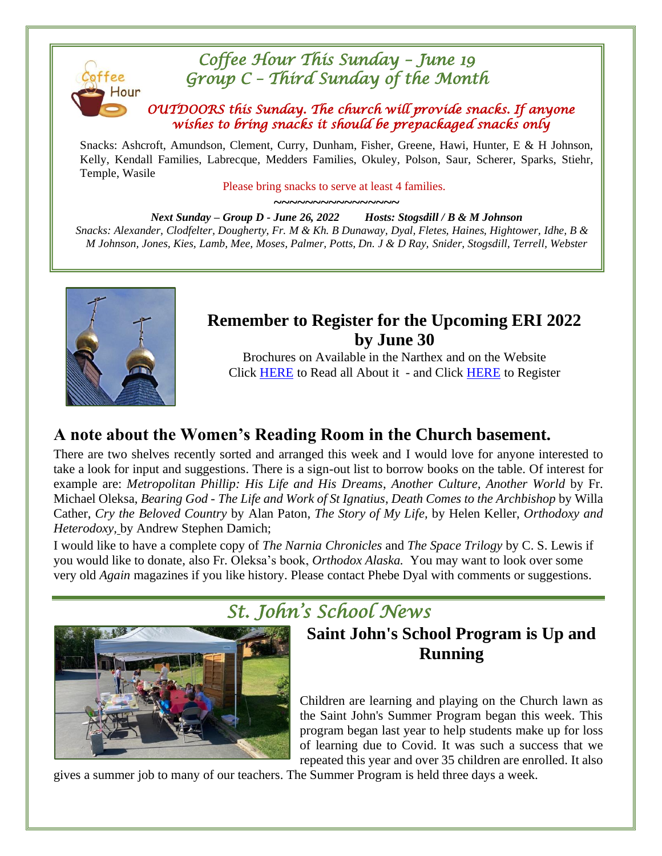

Snacks: Ashcroft, Amundson, Clement, Curry, Dunham, Fisher, Greene, Hawi, Hunter, E & H Johnson, Kelly, Kendall Families, Labrecque, Medders Families, Okuley, Polson, Saur, Scherer, Sparks, Stiehr, Temple, Wasile

Please bring snacks to serve at least 4 families.

**~~~~~~~~~~~~~~~~** *Next Sunday – Group D - June 26, 2022 Hosts: Stogsdill / B & M Johnson Snacks: Alexander, Clodfelter, Dougherty, Fr. M & Kh. B Dunaway, Dyal, Fletes, Haines, Hightower, Idhe, B & M Johnson, Jones, Kies, Lamb, Mee, Moses, Palmer, Potts, Dn. J & D Ray, Snider, Stogsdill, Terrell, Webster*



#### **Remember to Register for the Upcoming ERI 2022 by June 30**

Brochures on Available in the Narthex and on the Website Click [HERE](https://eagleriverinstitute.org/summer-session) to Read all About it - and Click [HERE](https://eagleriverinstitute.org/summer-session/register) to Register

### **A note about the Women's Reading Room in the Church basement.**

There are two shelves recently sorted and arranged this week and I would love for anyone interested to take a look for input and suggestions. There is a sign-out list to borrow books on the table. Of interest for example are: *Metropolitan Phillip: His Life and His Dreams*, *Another Culture, Another World* by Fr. Michael Oleksa, *Bearing God - The Life and Work of St Ignatius*, *Death Comes to the Archbishop* by Willa Cather, *Cry the Beloved Country* by Alan Paton, *The Story of My Life,* by Helen Keller, *Orthodoxy and Heterodoxy,* by Andrew Stephen Damich;

I would like to have a complete copy of *The Narnia Chronicles* and *The Space Trilogy* by C. S. Lewis if you would like to donate, also Fr. Oleksa's book, *Orthodox Alaska.* You may want to look over some very old *Again* magazines if you like history. Please contact Phebe Dyal with comments or suggestions.



## *St. John's School News*

### **Saint John's School Program is Up and Running**

Children are learning and playing on the Church lawn as the Saint John's Summer Program began this week. This program began last year to help students make up for loss of learning due to Covid. It was such a success that we repeated this year and over 35 children are enrolled. It also

gives a summer job to many of our teachers. The Summer Program is held three days a week.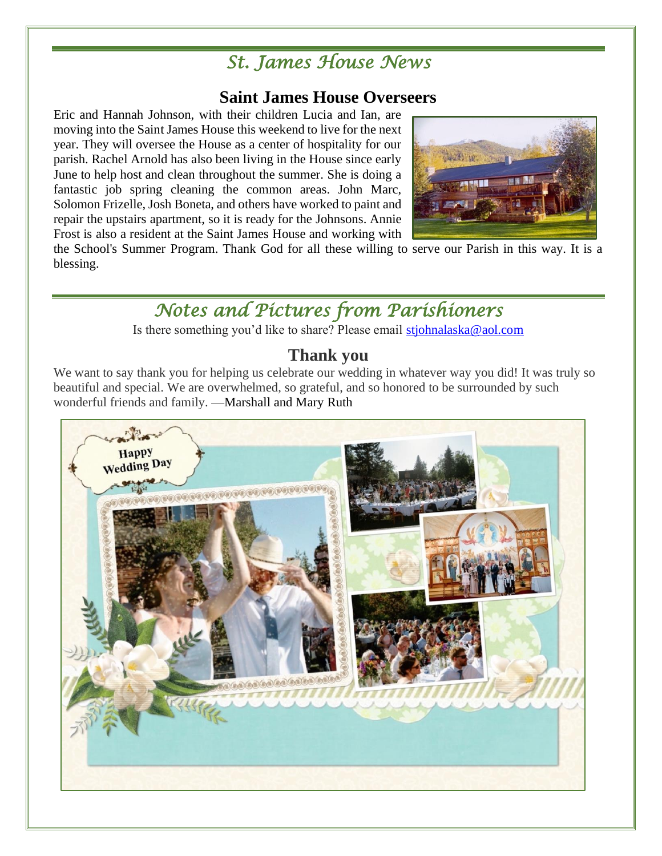## *St. James House News*

#### **Saint James House Overseers**

Eric and Hannah Johnson, with their children Lucia and Ian, are moving into the Saint James House this weekend to live for the next year. They will oversee the House as a center of hospitality for our parish. Rachel Arnold has also been living in the House since early June to help host and clean throughout the summer. She is doing a fantastic job spring cleaning the common areas. John Marc, Solomon Frizelle, Josh Boneta, and others have worked to paint and repair the upstairs apartment, so it is ready for the Johnsons. Annie Frost is also a resident at the Saint James House and working with



the School's Summer Program. Thank God for all these willing to serve our Parish in this way. It is a blessing.

*Notes and Pictures from Parishioners* 

Is there something you'd like to share? Please email [stjohnalaska@aol.com](mailto:stjohnalaska@aol.com)

#### **Thank you**

We want to say thank you for helping us celebrate our wedding in whatever way you did! It was truly so beautiful and special. We are overwhelmed, so grateful, and so honored to be surrounded by such wonderful friends and family. —Marshall and Mary Ruth

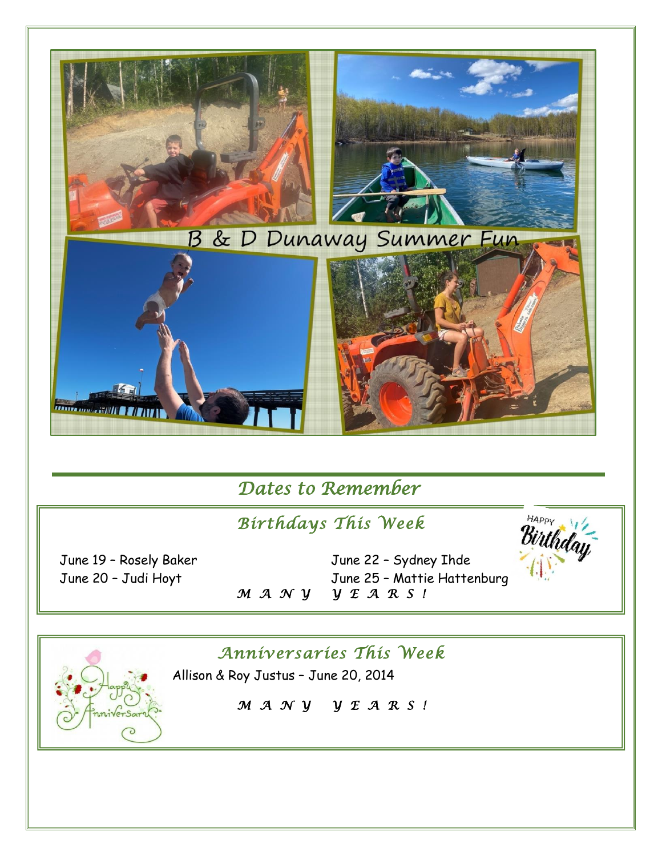

## *Dates to Remember*

## *Birthdays This Week*

June 19 – Rosely Baker June 22 – Sydney Ihde June 20 – Judi Hoyt June 25 – Mattie Hattenburg<br>  $M A N Y Y E A R S !$ *M A N Y Y E A R S !* 



### *Anniversaries This Week*



Allison & Roy Justus – June 20, 2014

*M A N Y Y E A R S !*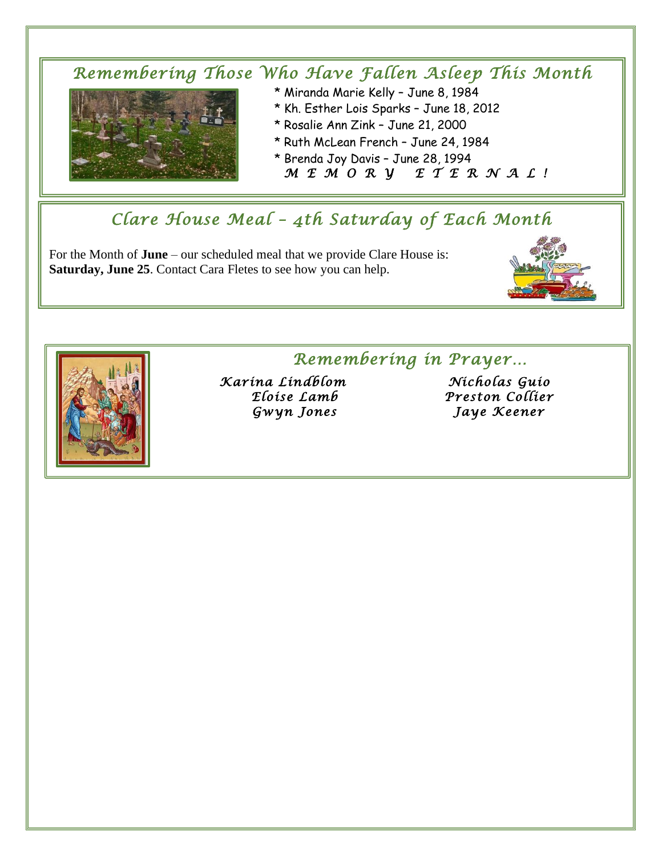#### *Remembering Those Who Have Fallen Asleep This Month*  \* Miranda Marie Kelly – June 8, 1984



- 
- \* Kh. Esther Lois Sparks June 18, 2012
- \* Rosalie Ann Zink June 21, 2000
- \* Ruth McLean French June 24, 1984
- \* Brenda Joy Davis June 28, 1994  *M E M O R Y E T E R N A L !*

## *Clare House Meal – 4th Saturday of Each Month*

For the Month of **June** – our scheduled meal that we provide Clare House is: **Saturday, June 25**. Contact Cara Fletes to see how you can help.





### *Remembering in Prayer…*

*Karina Lindblom Nicholas Guio Gwyn Jones Jaye Keener* 

*Eloise Lamb Preston Collier*